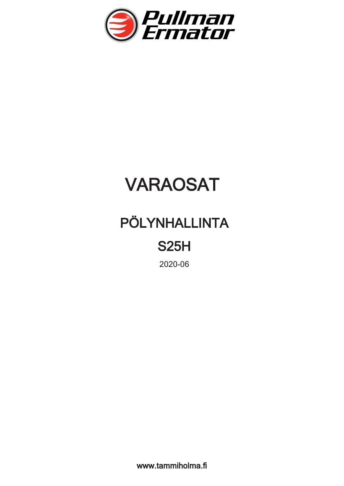

## VARAOSAT

## PÖLYNHALLINTA

## S25H

**2020-06**

www.tammiholma.fi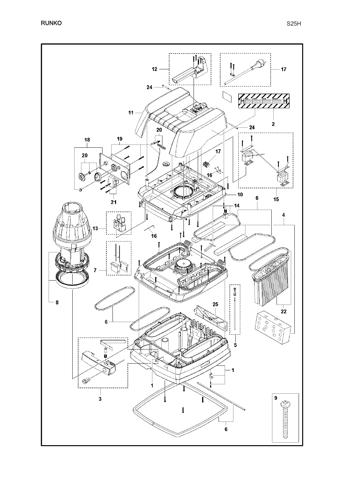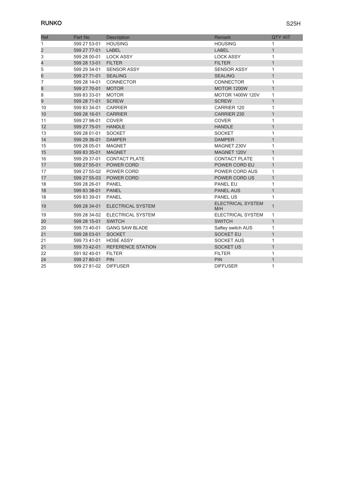| <b>Ref</b>              | Part No              | Description                | <b>Remark</b>                   | <b>QTY KIT</b> |
|-------------------------|----------------------|----------------------------|---------------------------------|----------------|
| 1                       | 599 27 53-01         | <b>HOUSING</b>             | <b>HOUSING</b>                  | 1              |
| $\overline{\mathbf{c}}$ | 599 27 77-01         | LABEL                      | <b>LABEL</b>                    | $\mathbf{1}$   |
| 3                       | 599 28 00-01         | <b>LOCK ASSY</b>           | <b>LOCK ASSY</b>                | 1              |
| 4                       | 599 28 13-01 FILTER  |                            | <b>FILTER</b>                   | $\mathbf{1}$   |
| 5                       | 599 29 34-01         | <b>SENSOR ASSY</b>         | <b>SENSOR ASSY</b>              | 1              |
| 6                       | 599 27 71-01 SEALING |                            | <b>SEALING</b>                  | $\mathbf{1}$   |
| 7                       | 599 28 14-01         | CONNECTOR                  | CONNECTOR                       | 1              |
| 8                       | 599 27 70-01         | <b>MOTOR</b>               | MOTOR 1200W                     | $\mathbf{1}$   |
| 8                       | 599 83 33-01         | <b>MOTOR</b>               | <b>MOTOR 1400W 120V</b>         | 1              |
| 9                       | 599 28 71-01 SCREW   |                            | <b>SCREW</b>                    | $\mathbf{1}$   |
| 10                      | 599 83 34-01         | CARRIER                    | <b>CARRIER 120</b>              | 1              |
| 10                      | 599 28 16-01 CARRIER |                            | CARRIER 230                     | $\mathbf{1}$   |
| 11                      | 599 27 98-01         | <b>COVER</b>               | <b>COVER</b>                    | 1              |
| 12                      | 599 27 75-01 HANDLE  |                            | <b>HANDLE</b>                   | $\mathbf{1}$   |
| 13                      | 599 28 01-01         | SOCKET                     | <b>SOCKET</b>                   | 1              |
| 14                      | 599 29 36-01 DAMPER  |                            | <b>DAMPER</b>                   | $\mathbf{1}$   |
| 15                      | 599 28 05-01         | <b>MAGNET</b>              | MAGNET 230V                     | 1              |
| 15                      | 599 83 35-01         | <b>MAGNET</b>              | MAGNET 120V                     | $\mathbf{1}$   |
| 16                      |                      | 599 29 37-01 CONTACT PLATE | <b>CONTACT PLATE</b>            | 1              |
| 17                      |                      | 599 27 55-01 POWER CORD    | POWER CORD EU                   | $\mathbf{1}$   |
| 17                      |                      | 599 27 55-02 POWER CORD    | POWER CORD AUS                  | 1              |
| 17                      |                      | 599 27 55-03 POWER CORD    | POWER CORD US                   | $\mathbf{1}$   |
| 18                      | 599 28 26-01         | PANEL                      | <b>PANEL EU</b>                 | 1              |
| 18                      | 599 83 38-01         | PANEL                      | <b>PANEL AUS</b>                | $\mathbf{1}$   |
| 18                      | 599 83 39-01         | <b>PANEL</b>               | <b>PANEL US</b>                 | 1              |
| 19                      | 599 28 34-01         | <b>ELECTRICAL SYSTEM</b>   | <b>ELECTRICAL SYSTEM</b><br>M/H | $\mathbf{1}$   |
| 19                      | 599 28 34-02         | <b>ELECTRICAL SYSTEM</b>   | <b>ELECTRICAL SYSTEM</b>        | 1              |
| 20                      | 599 28 15-01         | <b>SWITCH</b>              | <b>SWITCH</b>                   | $\mathbf{1}$   |
| 20                      | 599 73 40-01         | <b>GANG SAW BLADE</b>      | Saftey switch AUS               | 1              |
| 21                      | 599 28 03-01         | <b>SOCKET</b>              | <b>SOCKET EU</b>                | $\mathbf{1}$   |
| 21                      | 599 73 41-01         | <b>HOSE ASSY</b>           | <b>SOCKET AUS</b>               | 1              |
| 21                      | 599 73 42-01         | <b>REFERENCE STATION</b>   | <b>SOCKET US</b>                | $\mathbf{1}$   |
| 22                      | 591 92 40-01         | <b>FILTER</b>              | <b>FILTER</b>                   | 1              |
| 24                      | 599 27 80-01         | <b>PIN</b>                 | <b>PIN</b>                      | $\mathbf{1}$   |
| 25                      | 599 27 81-02         | <b>DIFFUSER</b>            | <b>DIFFUSER</b>                 | 1              |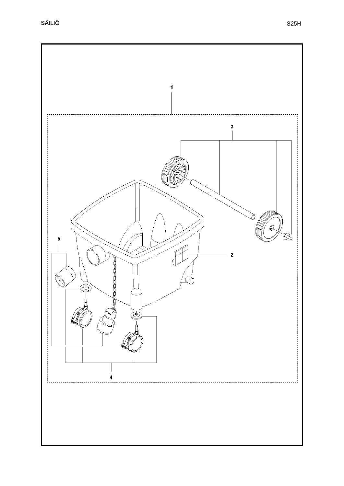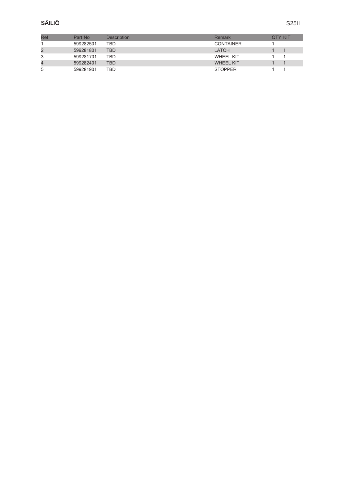| Ref | Part No   | <b>Description</b> | Remark           | OTY KIT |
|-----|-----------|--------------------|------------------|---------|
|     | 599282501 | TBD                | <b>CONTAINER</b> |         |
|     | 599281801 | <b>TBD</b>         | LATCH            |         |
|     | 599281701 | TBD                | <b>WHEEL KIT</b> |         |
| 4   | 599282401 | <b>TBD</b>         | <b>WHEEL KIT</b> |         |
| 5   | 599281901 | TBD                | <b>STOPPER</b>   |         |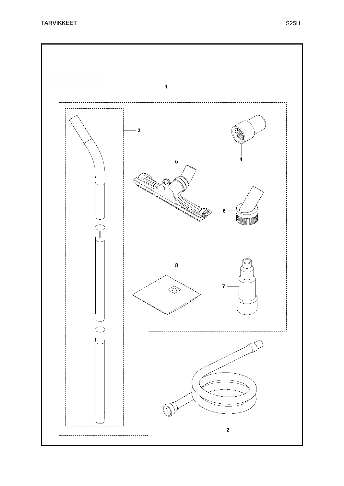